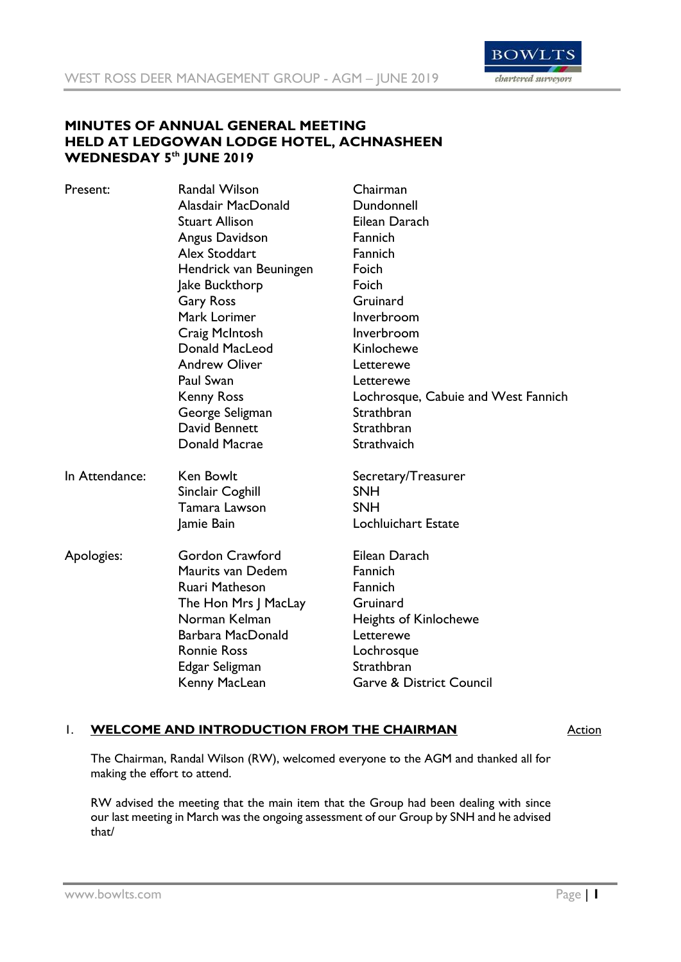

# **MINUTES OF ANNUAL GENERAL MEETING HELD AT LEDGOWAN LODGE HOTEL, ACHNASHEEN WEDNESDAY 5th JUNE 2019**

| Present:       | <b>Randal Wilson</b>   | Chairman                            |
|----------------|------------------------|-------------------------------------|
|                | Alasdair MacDonald     | Dundonnell                          |
|                | Stuart Allison         | Eilean Darach                       |
|                | Angus Davidson         | Fannich                             |
|                | <b>Alex Stoddart</b>   | Fannich                             |
|                | Hendrick van Beuningen | Foich                               |
|                | Jake Buckthorp         | Foich                               |
|                | <b>Gary Ross</b>       | Gruinard                            |
|                | Mark Lorimer           | Inverbroom                          |
|                | Craig McIntosh         | Inverbroom                          |
|                | Donald MacLeod         | Kinlochewe                          |
|                | <b>Andrew Oliver</b>   | Letterewe                           |
|                | Paul Swan              | Letterewe                           |
|                | <b>Kenny Ross</b>      | Lochrosque, Cabuie and West Fannich |
|                | George Seligman        | Strathbran                          |
|                | David Bennett          | Strathbran                          |
|                | Donald Macrae          | Strathvaich                         |
| In Attendance: | <b>Ken Bowlt</b>       | Secretary/Treasurer                 |
|                | Sinclair Coghill       | <b>SNH</b>                          |
|                | Tamara Lawson          | <b>SNH</b>                          |
|                | Jamie Bain             | Lochluichart Estate                 |
| Apologies:     | <b>Gordon Crawford</b> | Eilean Darach                       |
|                | Maurits van Dedem      | Fannich                             |
|                | Ruari Matheson         | Fannich                             |
|                | The Hon Mrs J MacLay   | Gruinard                            |
|                | Norman Kelman          | <b>Heights of Kinlochewe</b>        |
|                | Barbara MacDonald      | Letterewe                           |
|                | <b>Ronnie Ross</b>     | Lochrosque                          |
|                | Edgar Seligman         | Strathbran                          |
|                | Kenny MacLean          | <b>Garve &amp; District Council</b> |

## 1. **WELCOME AND INTRODUCTION FROM THE CHAIRMAN** Action

The Chairman, Randal Wilson (RW), welcomed everyone to the AGM and thanked all for making the effort to attend.

RW advised the meeting that the main item that the Group had been dealing with since our last meeting in March was the ongoing assessment of our Group by SNH and he advised that/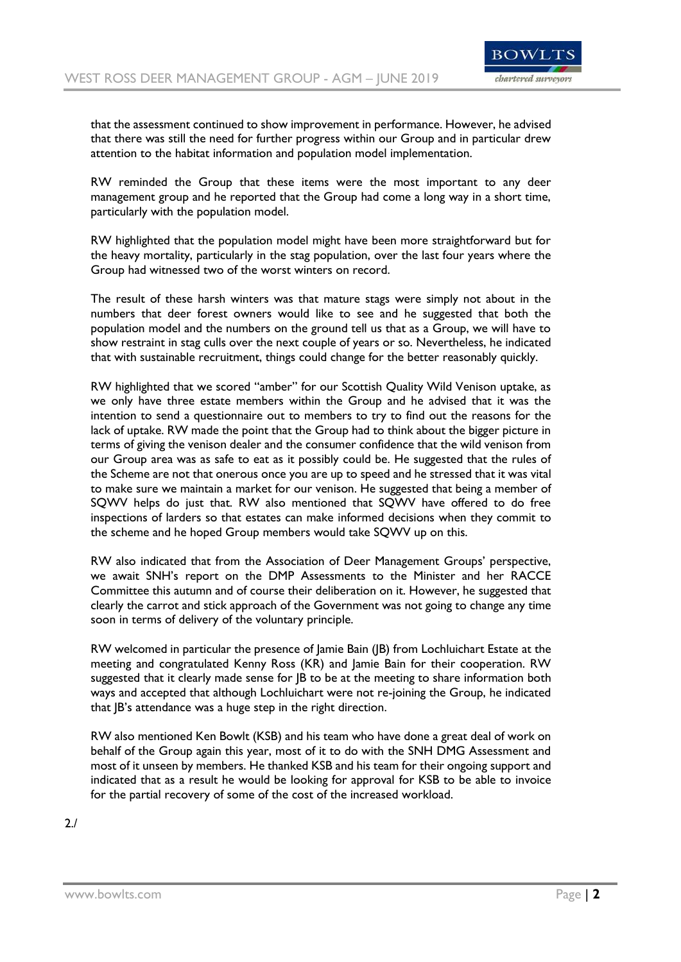

that the assessment continued to show improvement in performance. However, he advised that there was still the need for further progress within our Group and in particular drew attention to the habitat information and population model implementation.

RW reminded the Group that these items were the most important to any deer management group and he reported that the Group had come a long way in a short time, particularly with the population model.

RW highlighted that the population model might have been more straightforward but for the heavy mortality, particularly in the stag population, over the last four years where the Group had witnessed two of the worst winters on record.

The result of these harsh winters was that mature stags were simply not about in the numbers that deer forest owners would like to see and he suggested that both the population model and the numbers on the ground tell us that as a Group, we will have to show restraint in stag culls over the next couple of years or so. Nevertheless, he indicated that with sustainable recruitment, things could change for the better reasonably quickly.

RW highlighted that we scored "amber" for our Scottish Quality Wild Venison uptake, as we only have three estate members within the Group and he advised that it was the intention to send a questionnaire out to members to try to find out the reasons for the lack of uptake. RW made the point that the Group had to think about the bigger picture in terms of giving the venison dealer and the consumer confidence that the wild venison from our Group area was as safe to eat as it possibly could be. He suggested that the rules of the Scheme are not that onerous once you are up to speed and he stressed that it was vital to make sure we maintain a market for our venison. He suggested that being a member of SQWV helps do just that. RW also mentioned that SQWV have offered to do free inspections of larders so that estates can make informed decisions when they commit to the scheme and he hoped Group members would take SQWV up on this.

RW also indicated that from the Association of Deer Management Groups' perspective, we await SNH's report on the DMP Assessments to the Minister and her RACCE Committee this autumn and of course their deliberation on it. However, he suggested that clearly the carrot and stick approach of the Government was not going to change any time soon in terms of delivery of the voluntary principle.

RW welcomed in particular the presence of Jamie Bain (JB) from Lochluichart Estate at the meeting and congratulated Kenny Ross (KR) and Jamie Bain for their cooperation. RW suggested that it clearly made sense for JB to be at the meeting to share information both ways and accepted that although Lochluichart were not re-joining the Group, he indicated that JB's attendance was a huge step in the right direction.

RW also mentioned Ken Bowlt (KSB) and his team who have done a great deal of work on behalf of the Group again this year, most of it to do with the SNH DMG Assessment and most of it unseen by members. He thanked KSB and his team for their ongoing support and indicated that as a result he would be looking for approval for KSB to be able to invoice for the partial recovery of some of the cost of the increased workload.

2./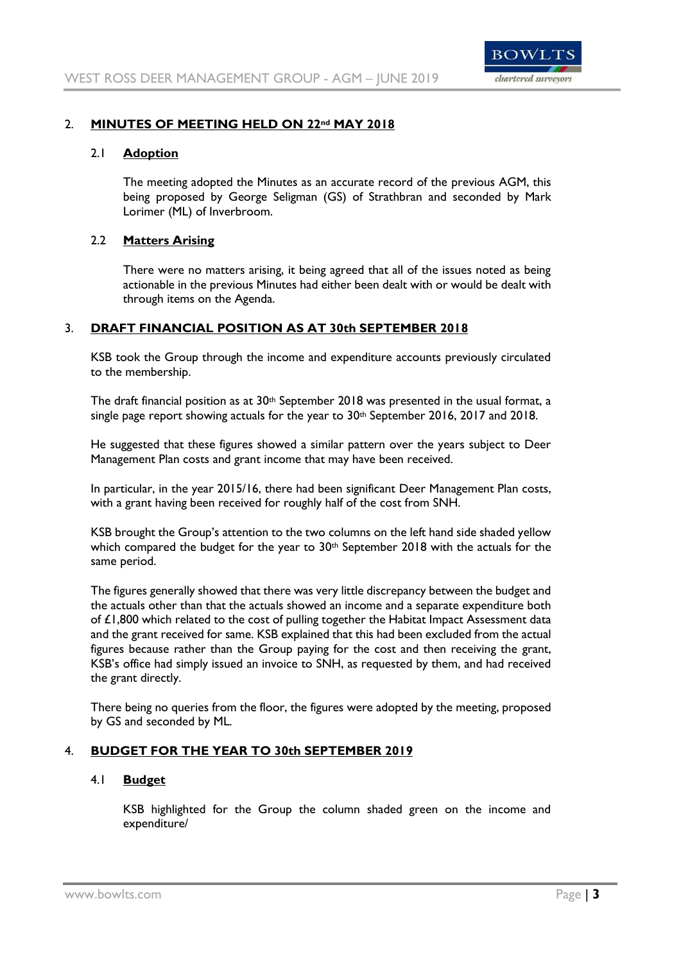

## 2. **MINUTES OF MEETING HELD ON 22nd MAY 2018**

## 2.1 **Adoption**

The meeting adopted the Minutes as an accurate record of the previous AGM, this being proposed by George Seligman (GS) of Strathbran and seconded by Mark Lorimer (ML) of Inverbroom.

## 2.2 **Matters Arising**

There were no matters arising, it being agreed that all of the issues noted as being actionable in the previous Minutes had either been dealt with or would be dealt with through items on the Agenda.

## 3. **DRAFT FINANCIAL POSITION AS AT 30th SEPTEMBER 2018**

KSB took the Group through the income and expenditure accounts previously circulated to the membership.

The draft financial position as at 30<sup>th</sup> September 2018 was presented in the usual format, a single page report showing actuals for the year to  $30<sup>th</sup>$  September 2016, 2017 and 2018.

He suggested that these figures showed a similar pattern over the years subject to Deer Management Plan costs and grant income that may have been received.

In particular, in the year 2015/16, there had been significant Deer Management Plan costs, with a grant having been received for roughly half of the cost from SNH.

KSB brought the Group's attention to the two columns on the left hand side shaded yellow which compared the budget for the year to  $30<sup>th</sup>$  September 2018 with the actuals for the same period.

The figures generally showed that there was very little discrepancy between the budget and the actuals other than that the actuals showed an income and a separate expenditure both of £1,800 which related to the cost of pulling together the Habitat Impact Assessment data and the grant received for same. KSB explained that this had been excluded from the actual figures because rather than the Group paying for the cost and then receiving the grant, KSB's office had simply issued an invoice to SNH, as requested by them, and had received the grant directly.

There being no queries from the floor, the figures were adopted by the meeting, proposed by GS and seconded by ML.

## 4. **BUDGET FOR THE YEAR TO 30th SEPTEMBER 2019**

#### 4.1 **Budget**

KSB highlighted for the Group the column shaded green on the income and expenditure/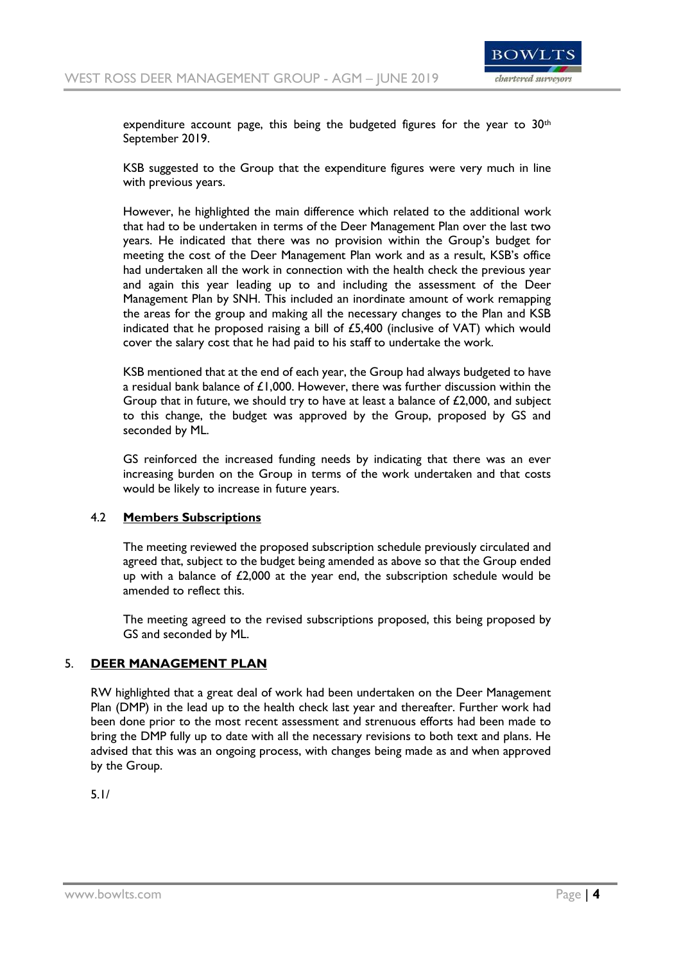

expenditure account page, this being the budgeted figures for the year to  $30<sup>th</sup>$ September 2019.

KSB suggested to the Group that the expenditure figures were very much in line with previous years.

However, he highlighted the main difference which related to the additional work that had to be undertaken in terms of the Deer Management Plan over the last two years. He indicated that there was no provision within the Group's budget for meeting the cost of the Deer Management Plan work and as a result, KSB's office had undertaken all the work in connection with the health check the previous year and again this year leading up to and including the assessment of the Deer Management Plan by SNH. This included an inordinate amount of work remapping the areas for the group and making all the necessary changes to the Plan and KSB indicated that he proposed raising a bill of £5,400 (inclusive of VAT) which would cover the salary cost that he had paid to his staff to undertake the work.

KSB mentioned that at the end of each year, the Group had always budgeted to have a residual bank balance of  $£1,000$ . However, there was further discussion within the Group that in future, we should try to have at least a balance of  $£2,000$ , and subject to this change, the budget was approved by the Group, proposed by GS and seconded by ML.

GS reinforced the increased funding needs by indicating that there was an ever increasing burden on the Group in terms of the work undertaken and that costs would be likely to increase in future years.

#### 4.2 **Members Subscriptions**

The meeting reviewed the proposed subscription schedule previously circulated and agreed that, subject to the budget being amended as above so that the Group ended up with a balance of  $£2,000$  at the year end, the subscription schedule would be amended to reflect this.

The meeting agreed to the revised subscriptions proposed, this being proposed by GS and seconded by ML.

#### 5. **DEER MANAGEMENT PLAN**

RW highlighted that a great deal of work had been undertaken on the Deer Management Plan (DMP) in the lead up to the health check last year and thereafter. Further work had been done prior to the most recent assessment and strenuous efforts had been made to bring the DMP fully up to date with all the necessary revisions to both text and plans. He advised that this was an ongoing process, with changes being made as and when approved by the Group.

5.1/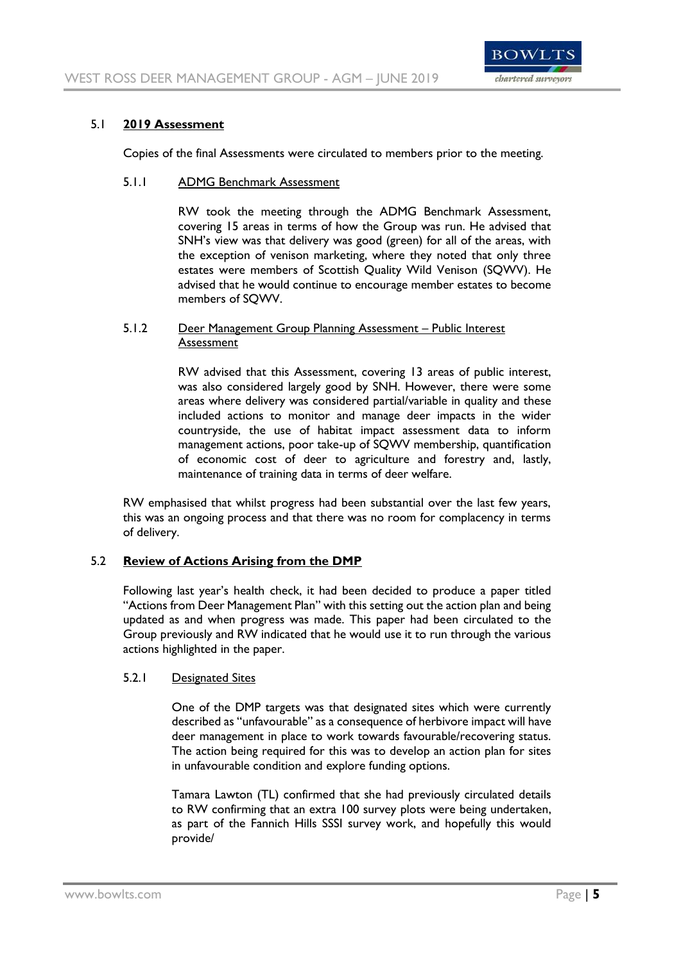

## 5.1 **2019 Assessment**

Copies of the final Assessments were circulated to members prior to the meeting.

#### 5.1.1 ADMG Benchmark Assessment

RW took the meeting through the ADMG Benchmark Assessment, covering 15 areas in terms of how the Group was run. He advised that SNH's view was that delivery was good (green) for all of the areas, with the exception of venison marketing, where they noted that only three estates were members of Scottish Quality Wild Venison (SQWV). He advised that he would continue to encourage member estates to become members of SQWV.

## 5.1.2 Deer Management Group Planning Assessment – Public Interest Assessment

RW advised that this Assessment, covering 13 areas of public interest, was also considered largely good by SNH. However, there were some areas where delivery was considered partial/variable in quality and these included actions to monitor and manage deer impacts in the wider countryside, the use of habitat impact assessment data to inform management actions, poor take-up of SQWV membership, quantification of economic cost of deer to agriculture and forestry and, lastly, maintenance of training data in terms of deer welfare.

RW emphasised that whilst progress had been substantial over the last few years, this was an ongoing process and that there was no room for complacency in terms of delivery.

## 5.2 **Review of Actions Arising from the DMP**

Following last year's health check, it had been decided to produce a paper titled "Actions from Deer Management Plan" with this setting out the action plan and being updated as and when progress was made. This paper had been circulated to the Group previously and RW indicated that he would use it to run through the various actions highlighted in the paper.

## 5.2.1 Designated Sites

One of the DMP targets was that designated sites which were currently described as "unfavourable" as a consequence of herbivore impact will have deer management in place to work towards favourable/recovering status. The action being required for this was to develop an action plan for sites in unfavourable condition and explore funding options.

Tamara Lawton (TL) confirmed that she had previously circulated details to RW confirming that an extra 100 survey plots were being undertaken, as part of the Fannich Hills SSSI survey work, and hopefully this would provide/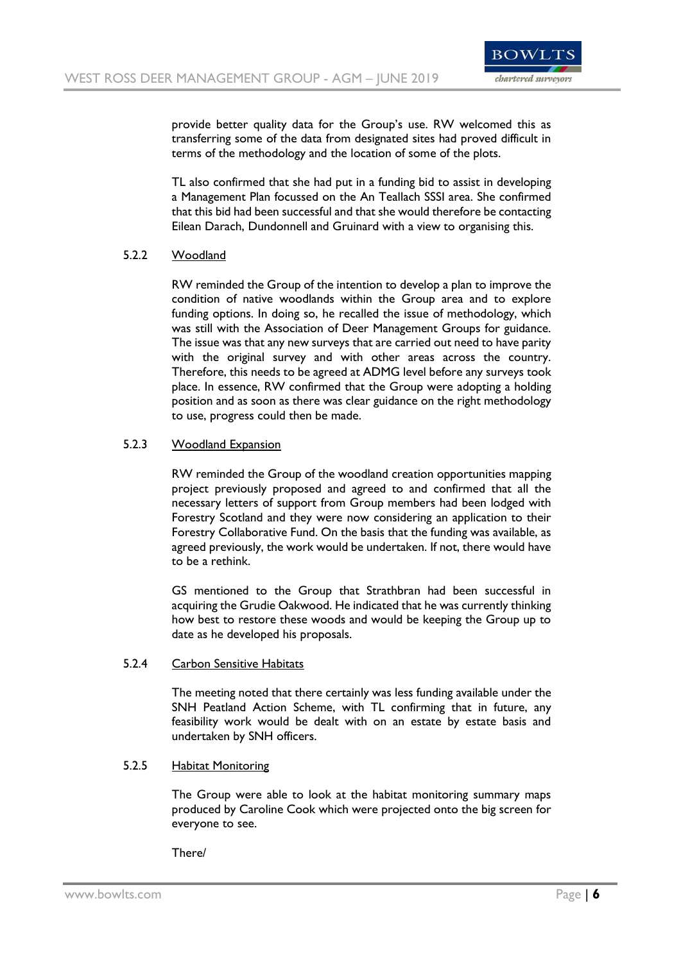

provide better quality data for the Group's use. RW welcomed this as transferring some of the data from designated sites had proved difficult in terms of the methodology and the location of some of the plots.

TL also confirmed that she had put in a funding bid to assist in developing a Management Plan focussed on the An Teallach SSSI area. She confirmed that this bid had been successful and that she would therefore be contacting Eilean Darach, Dundonnell and Gruinard with a view to organising this.

## 5.2.2 Woodland

RW reminded the Group of the intention to develop a plan to improve the condition of native woodlands within the Group area and to explore funding options. In doing so, he recalled the issue of methodology, which was still with the Association of Deer Management Groups for guidance. The issue was that any new surveys that are carried out need to have parity with the original survey and with other areas across the country. Therefore, this needs to be agreed at ADMG level before any surveys took place. In essence, RW confirmed that the Group were adopting a holding position and as soon as there was clear guidance on the right methodology to use, progress could then be made.

## 5.2.3 Woodland Expansion

RW reminded the Group of the woodland creation opportunities mapping project previously proposed and agreed to and confirmed that all the necessary letters of support from Group members had been lodged with Forestry Scotland and they were now considering an application to their Forestry Collaborative Fund. On the basis that the funding was available, as agreed previously, the work would be undertaken. If not, there would have to be a rethink.

GS mentioned to the Group that Strathbran had been successful in acquiring the Grudie Oakwood. He indicated that he was currently thinking how best to restore these woods and would be keeping the Group up to date as he developed his proposals.

#### 5.2.4 Carbon Sensitive Habitats

The meeting noted that there certainly was less funding available under the SNH Peatland Action Scheme, with TL confirming that in future, any feasibility work would be dealt with on an estate by estate basis and undertaken by SNH officers.

#### 5.2.5 Habitat Monitoring

The Group were able to look at the habitat monitoring summary maps produced by Caroline Cook which were projected onto the big screen for everyone to see.

#### There/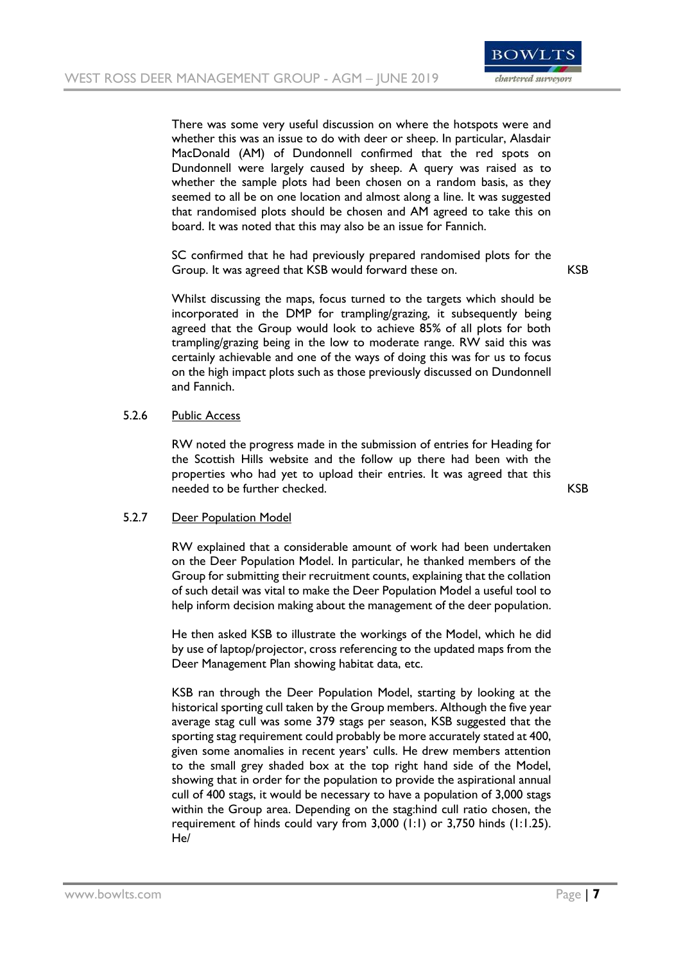

There was some very useful discussion on where the hotspots were and whether this was an issue to do with deer or sheep. In particular, Alasdair MacDonald (AM) of Dundonnell confirmed that the red spots on Dundonnell were largely caused by sheep. A query was raised as to whether the sample plots had been chosen on a random basis, as they seemed to all be on one location and almost along a line. It was suggested that randomised plots should be chosen and AM agreed to take this on board. It was noted that this may also be an issue for Fannich.

SC confirmed that he had previously prepared randomised plots for the Group. It was agreed that KSB would forward these on. KSB

Whilst discussing the maps, focus turned to the targets which should be incorporated in the DMP for trampling/grazing, it subsequently being agreed that the Group would look to achieve 85% of all plots for both trampling/grazing being in the low to moderate range. RW said this was certainly achievable and one of the ways of doing this was for us to focus on the high impact plots such as those previously discussed on Dundonnell and Fannich.

## 5.2.6 Public Access

RW noted the progress made in the submission of entries for Heading for the Scottish Hills website and the follow up there had been with the properties who had yet to upload their entries. It was agreed that this needed to be further checked. The state of the state of the state of the KSB state of the KSB

#### 5.2.7 Deer Population Model

RW explained that a considerable amount of work had been undertaken on the Deer Population Model. In particular, he thanked members of the Group for submitting their recruitment counts, explaining that the collation of such detail was vital to make the Deer Population Model a useful tool to help inform decision making about the management of the deer population.

He then asked KSB to illustrate the workings of the Model, which he did by use of laptop/projector, cross referencing to the updated maps from the Deer Management Plan showing habitat data, etc.

KSB ran through the Deer Population Model, starting by looking at the historical sporting cull taken by the Group members. Although the five year average stag cull was some 379 stags per season, KSB suggested that the sporting stag requirement could probably be more accurately stated at 400, given some anomalies in recent years' culls. He drew members attention to the small grey shaded box at the top right hand side of the Model, showing that in order for the population to provide the aspirational annual cull of 400 stags, it would be necessary to have a population of 3,000 stags within the Group area. Depending on the stag:hind cull ratio chosen, the requirement of hinds could vary from 3,000 (1:1) or 3,750 hinds (1:1.25). He/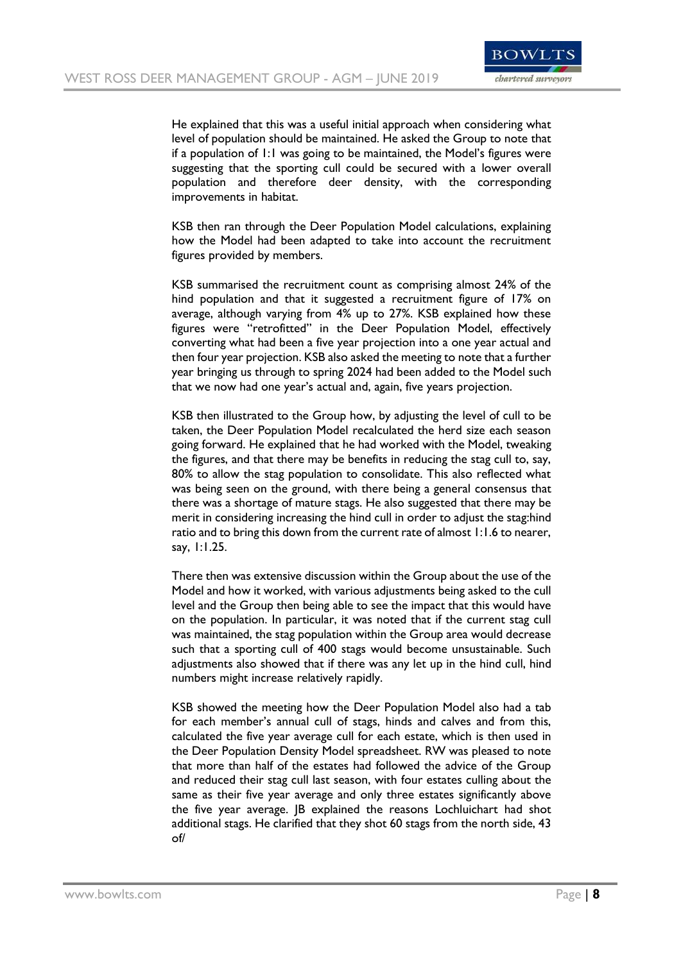

He explained that this was a useful initial approach when considering what level of population should be maintained. He asked the Group to note that if a population of 1:1 was going to be maintained, the Model's figures were suggesting that the sporting cull could be secured with a lower overall population and therefore deer density, with the corresponding improvements in habitat.

KSB then ran through the Deer Population Model calculations, explaining how the Model had been adapted to take into account the recruitment figures provided by members.

KSB summarised the recruitment count as comprising almost 24% of the hind population and that it suggested a recruitment figure of 17% on average, although varying from 4% up to 27%. KSB explained how these figures were "retrofitted" in the Deer Population Model, effectively converting what had been a five year projection into a one year actual and then four year projection. KSB also asked the meeting to note that a further year bringing us through to spring 2024 had been added to the Model such that we now had one year's actual and, again, five years projection.

KSB then illustrated to the Group how, by adjusting the level of cull to be taken, the Deer Population Model recalculated the herd size each season going forward. He explained that he had worked with the Model, tweaking the figures, and that there may be benefits in reducing the stag cull to, say, 80% to allow the stag population to consolidate. This also reflected what was being seen on the ground, with there being a general consensus that there was a shortage of mature stags. He also suggested that there may be merit in considering increasing the hind cull in order to adjust the stag:hind ratio and to bring this down from the current rate of almost 1:1.6 to nearer, say, 1:1.25.

There then was extensive discussion within the Group about the use of the Model and how it worked, with various adjustments being asked to the cull level and the Group then being able to see the impact that this would have on the population. In particular, it was noted that if the current stag cull was maintained, the stag population within the Group area would decrease such that a sporting cull of 400 stags would become unsustainable. Such adjustments also showed that if there was any let up in the hind cull, hind numbers might increase relatively rapidly.

KSB showed the meeting how the Deer Population Model also had a tab for each member's annual cull of stags, hinds and calves and from this, calculated the five year average cull for each estate, which is then used in the Deer Population Density Model spreadsheet. RW was pleased to note that more than half of the estates had followed the advice of the Group and reduced their stag cull last season, with four estates culling about the same as their five year average and only three estates significantly above the five year average. JB explained the reasons Lochluichart had shot additional stags. He clarified that they shot 60 stags from the north side, 43 of/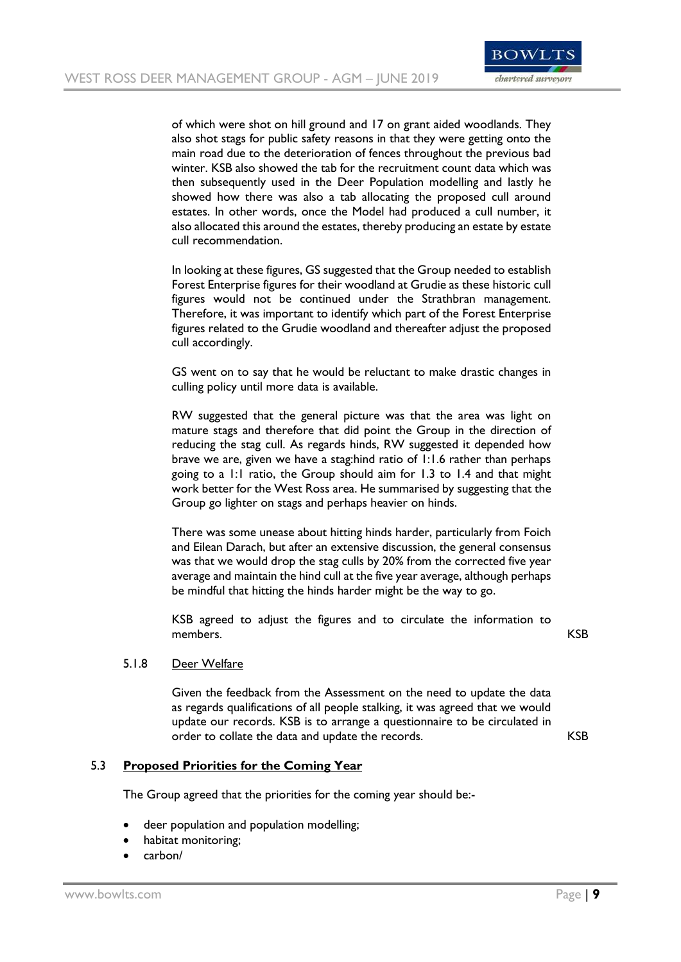

of which were shot on hill ground and 17 on grant aided woodlands. They also shot stags for public safety reasons in that they were getting onto the main road due to the deterioration of fences throughout the previous bad winter. KSB also showed the tab for the recruitment count data which was then subsequently used in the Deer Population modelling and lastly he showed how there was also a tab allocating the proposed cull around estates. In other words, once the Model had produced a cull number, it also allocated this around the estates, thereby producing an estate by estate cull recommendation.

In looking at these figures, GS suggested that the Group needed to establish Forest Enterprise figures for their woodland at Grudie as these historic cull figures would not be continued under the Strathbran management. Therefore, it was important to identify which part of the Forest Enterprise figures related to the Grudie woodland and thereafter adjust the proposed cull accordingly.

GS went on to say that he would be reluctant to make drastic changes in culling policy until more data is available.

RW suggested that the general picture was that the area was light on mature stags and therefore that did point the Group in the direction of reducing the stag cull. As regards hinds, RW suggested it depended how brave we are, given we have a stag:hind ratio of 1:1.6 rather than perhaps going to a 1:1 ratio, the Group should aim for 1.3 to 1.4 and that might work better for the West Ross area. He summarised by suggesting that the Group go lighter on stags and perhaps heavier on hinds.

There was some unease about hitting hinds harder, particularly from Foich and Eilean Darach, but after an extensive discussion, the general consensus was that we would drop the stag culls by 20% from the corrected five year average and maintain the hind cull at the five year average, although perhaps be mindful that hitting the hinds harder might be the way to go.

KSB agreed to adjust the figures and to circulate the information to members. KSB

#### 5.1.8 Deer Welfare

Given the feedback from the Assessment on the need to update the data as regards qualifications of all people stalking, it was agreed that we would update our records. KSB is to arrange a questionnaire to be circulated in order to collate the data and update the records. The resolution of the KSB

## 5.3 **Proposed Priorities for the Coming Year**

The Group agreed that the priorities for the coming year should be:-

- deer population and population modelling;
- habitat monitoring;
- carbon/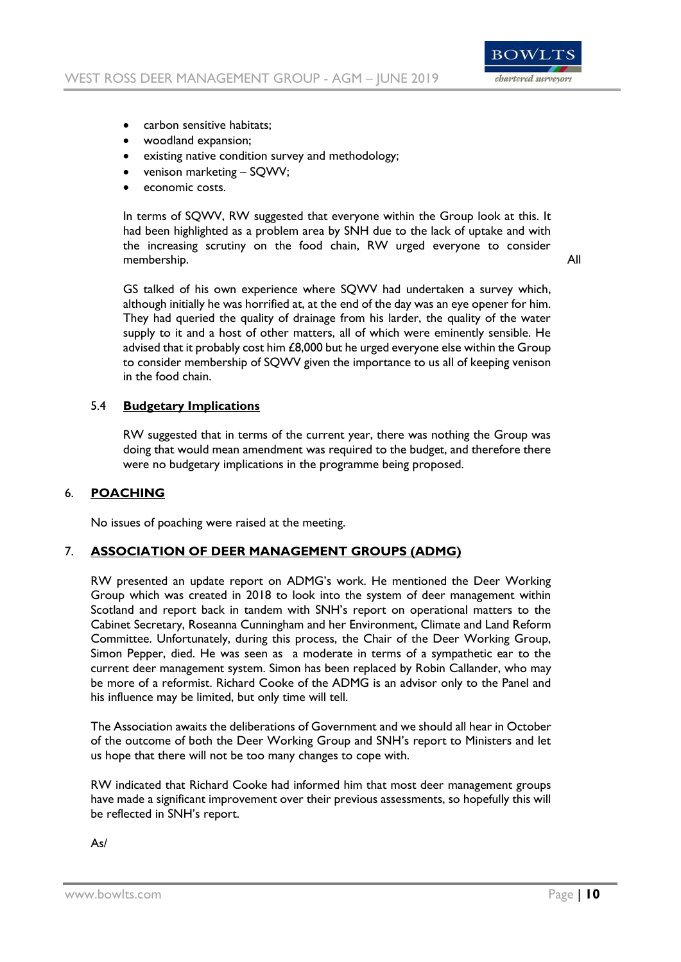

- carbon sensitive habitats:
- woodland expansion;
- existing native condition survey and methodology;
- venison marketing SQWV;
- economic costs.

In terms of SQWV, RW suggested that everyone within the Group look at this. It had been highlighted as a problem area by SNH due to the lack of uptake and with the increasing scrutiny on the food chain, RW urged everyone to consider membership. All

GS talked of his own experience where SQWV had undertaken a survey which, although initially he was horrified at, at the end of the day was an eye opener for him. They had queried the quality of drainage from his larder, the quality of the water supply to it and a host of other matters, all of which were eminently sensible. He advised that it probably cost him £8,000 but he urged everyone else within the Group to consider membership of SQWV given the importance to us all of keeping venison in the food chain.

### 5.4 **Budgetary Implications**

RW suggested that in terms of the current year, there was nothing the Group was doing that would mean amendment was required to the budget, and therefore there were no budgetary implications in the programme being proposed.

#### 6. **POACHING**

No issues of poaching were raised at the meeting.

#### 7. **ASSOCIATION OF DEER MANAGEMENT GROUPS (ADMG)**

RW presented an update report on ADMG's work. He mentioned the Deer Working Group which was created in 2018 to look into the system of deer management within Scotland and report back in tandem with SNH's report on operational matters to the Cabinet Secretary, Roseanna Cunningham and her Environment, Climate and Land Reform Committee. Unfortunately, during this process, the Chair of the Deer Working Group, Simon Pepper, died. He was seen as a moderate in terms of a sympathetic ear to the current deer management system. Simon has been replaced by Robin Callander, who may be more of a reformist. Richard Cooke of the ADMG is an advisor only to the Panel and his influence may be limited, but only time will tell.

The Association awaits the deliberations of Government and we should all hear in October of the outcome of both the Deer Working Group and SNH's report to Ministers and let us hope that there will not be too many changes to cope with.

RW indicated that Richard Cooke had informed him that most deer management groups have made a significant improvement over their previous assessments, so hopefully this will be reflected in SNH's report.

As/